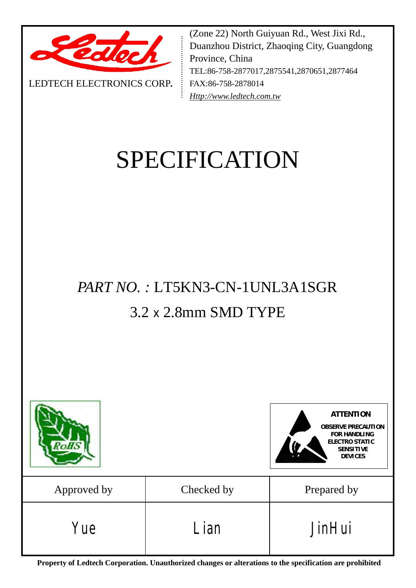

LEDTECH ELECTRONICS CORP**.**

(Zone 22) North Guiyuan Rd., West Jixi Rd., Duanzhou District, Zhaoqing City, Guangdong Province, China TEL:86-758-2877017,2875541,2870651,2877464 FAX:86-758-2878014 *[Http://www.ledtech.com.tw](http://www.ledtech.com.tw)*

# SPECIFICATION

## *PART NO. :* LT5KN3-CN-1UNL3A1SGR 3.2 x 2.8mm SMD TYPE



**Property of Ledtech Corporation. Unauthorized changes or alterations to the specification are prohibited**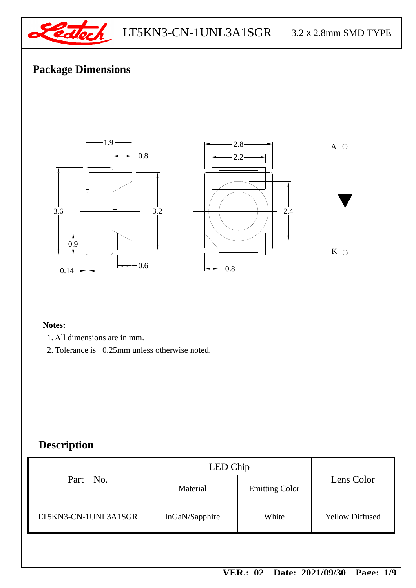

## **Package Dimensions**



#### **Notes:**

- 1. All dimensions are in mm.
- 2. Tolerance is ±0.25mm unless otherwise noted.

## **Description**

| Material       | <b>Emitting Color</b> | Lens Color             |
|----------------|-----------------------|------------------------|
| InGaN/Sapphire | White                 | <b>Yellow Diffused</b> |
|                |                       | LED Chip               |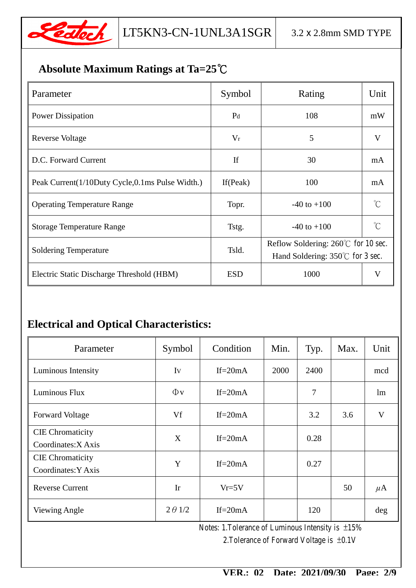

## **Absolute Maximum Ratings at Ta=25℃**

| Parameter                                          | Symbol         | Rating                                                                                    | Unit        |
|----------------------------------------------------|----------------|-------------------------------------------------------------------------------------------|-------------|
| <b>Power Dissipation</b>                           | P <sub>d</sub> | 108                                                                                       | mW          |
| Reverse Voltage                                    | $V_r$          | 5                                                                                         | V           |
| D.C. Forward Current                               | If             | 30                                                                                        | mA          |
| Peak Current (1/10Duty Cycle, 0.1 ms Pulse Width.) | If $(Peak)$    | 100                                                                                       | mA          |
| <b>Operating Temperature Range</b>                 | Topr.          | $-40$ to $+100$                                                                           | $^{\circ}C$ |
| <b>Storage Temperature Range</b>                   | Tstg.          | $-40$ to $+100$                                                                           | $^{\circ}C$ |
| <b>Soldering Temperature</b>                       | Tsld.          | Reflow Soldering: $260^{\circ}$ C for 10 sec.<br>Hand Soldering: $350^{\circ}$ for 3 sec. |             |
| Electric Static Discharge Threshold (HBM)          | <b>ESD</b>     | 1000                                                                                      | V           |

## **Electrical and Optical Characteristics:**

| Parameter                                      | Symbol         | Condition   | Min. | Typ. | Max. | Unit    |
|------------------------------------------------|----------------|-------------|------|------|------|---------|
| Luminous Intensity                             | Iv             | If= $20mA$  | 2000 | 2400 |      | mcd     |
| Luminous Flux                                  | $\Phi$ v       | $If = 20mA$ |      | 7    |      | lm      |
| <b>Forward Voltage</b>                         | Vf             | If= $20mA$  |      | 3.2  | 3.6  | V       |
| <b>CIE</b> Chromaticity<br>Coordinates: X Axis | X              | $If = 20mA$ |      | 0.28 |      |         |
| <b>CIE</b> Chromaticity<br>Coordinates: Y Axis | Y              | If= $20mA$  |      | 0.27 |      |         |
| <b>Reverse Current</b>                         | $\mathbf{I}$ r | $Vr=5V$     |      |      | 50   | $\mu$ A |
| Viewing Angle                                  | $2 \theta$ 1/2 | If= $20mA$  |      | 120  |      | deg     |

Notes: 1.Tolerance of Luminous Intensity is ±15%

2.Tolerance of Forward Voltage is ±0.1V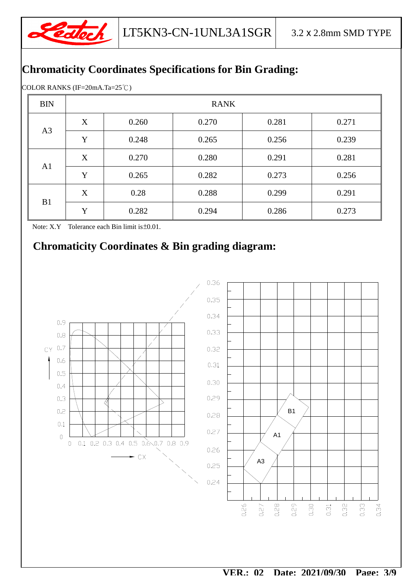

## **Chromaticity Coordinates Specifications for Bin Grading:**

COLOR RANKS (IF=20mA.Ta=25℃)

| <b>BIN</b>     | <b>RANK</b> |       |       |       |       |  |
|----------------|-------------|-------|-------|-------|-------|--|
| A <sub>3</sub> | X           | 0.260 | 0.270 | 0.281 | 0.271 |  |
|                | Y           | 0.248 | 0.265 | 0.256 | 0.239 |  |
| A1             | X           | 0.270 | 0.280 | 0.291 | 0.281 |  |
|                | Y           | 0.265 | 0.282 | 0.273 | 0.256 |  |
| B1             | X           | 0.28  | 0.288 | 0.299 | 0.291 |  |
|                | Y           | 0.282 | 0.294 | 0.286 | 0.273 |  |

Note: X.Y Tolerance each Bin limit is±0.01.

## **Chromaticity Coordinates & Bin grading diagram:**

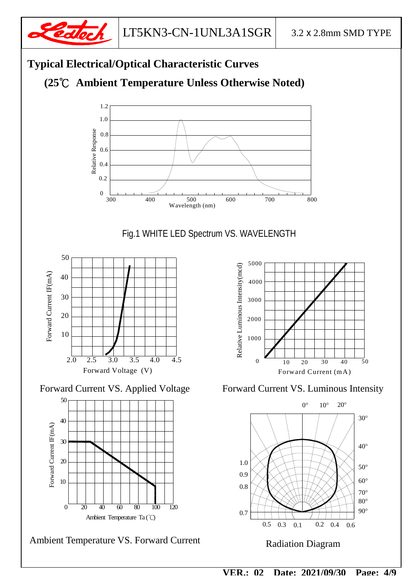

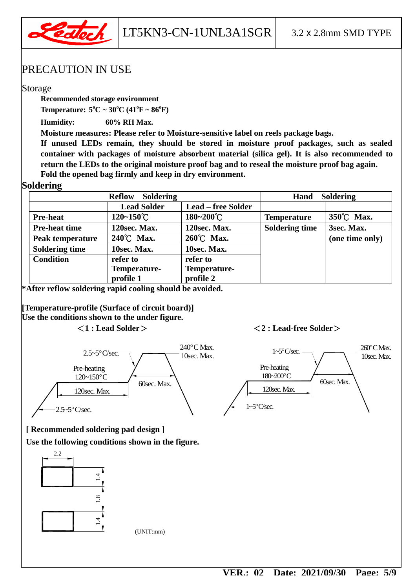

#### PRECAUTION IN USE

#### Storage

**Recommended storage environment** 

**Temperature:**  $5^{\circ}C \sim 30^{\circ}C (41^{\circ}F \sim 86^{\circ}F)$ 

**Humidity: 60% RH Max.** 

**Moisture measures: Please refer to Moisture-sensitive label on reels package bags.** 

**If unused LEDs remain, they should be stored in moisture proof packages, such as sealed container with packages of moisture absorbent material (silica gel). It is also recommended to return the LEDs to the original moisture proof bag and to reseal the moisture proof bag again. Fold the opened bag firmly and keep in dry environment.** 

#### **Soldering**

| <b>Soldering</b><br><b>Reflow</b> |                       |                           | <b>Soldering</b><br>Hand |                 |  |
|-----------------------------------|-----------------------|---------------------------|--------------------------|-----------------|--|
|                                   | <b>Lead Solder</b>    | <b>Lead – free Solder</b> |                          |                 |  |
| <b>Pre-heat</b>                   | $120 - 150^{\circ}$ C | $180 - 200^{\circ}C$      | <b>Temperature</b>       | 350°C Max.      |  |
| <b>Pre-heat time</b>              | 120sec. Max.          | 120sec. Max.              | <b>Soldering time</b>    | 3sec. Max.      |  |
| Peak temperature                  | 240°C Max.            | 260°C Max.                |                          | (one time only) |  |
| <b>Soldering time</b>             | 10sec. Max.           | 10sec. Max.               |                          |                 |  |
| <b>Condition</b>                  | refer to              | refer to                  |                          |                 |  |
|                                   | Temperature-          | Temperature-              |                          |                 |  |
|                                   | profile 1             | profile 2                 |                          |                 |  |

**\*After reflow soldering rapid cooling should be avoided.** 

**[Temperature-profile (Surface of circuit board)] Use the conditions shown to the under figure. <1 : Lead Solder> <2 : Lead-free Solder>**



 $1 - 5^{\circ}$ C/sec.  $\longrightarrow 260^{\circ}$ CMax.



#### **[ Recommended soldering pad design ]**

**Use the following conditions shown in the figure.** 



(UNIT:mm)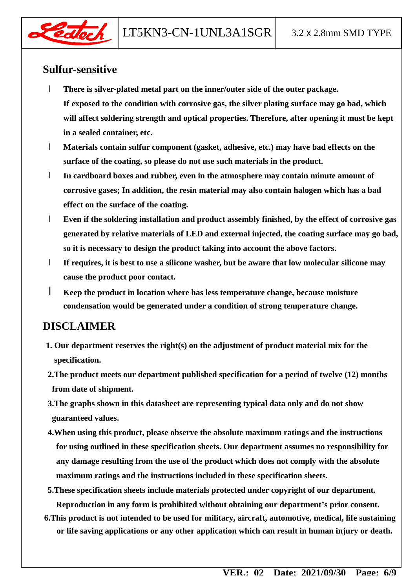

#### **Sulfur-sensitive**

- l **There is silver-plated metal part on the inner/outer side of the outer package. If exposed to the condition with corrosive gas, the silver plating surface may go bad, which will affect soldering strength and optical properties. Therefore, after opening it must be kept in a sealed container, etc.**
- l **Materials contain sulfur component (gasket, adhesive, etc.) may have bad effects on the surface of the coating, so please do not use such materials in the product.**
- l **In cardboard boxes and rubber, even in the atmosphere may contain minute amount of corrosive gases; In addition, the resin material may also contain halogen which has a bad effect on the surface of the coating.**
- l **Even if the soldering installation and product assembly finished, by the effect of corrosive gas generated by relative materials of LED and external injected, the coating surface may go bad, so it is necessary to design the product taking into account the above factors.**
- l **If requires, it is best to use a silicone washer, but be aware that low molecular silicone may cause the product poor contact.**
- l **Keep the product in location where has less temperature change, because moisture condensation would be generated under a condition of strong temperature change.**

### **DISCLAIMER**

- **1. Our department reserves the right(s) on the adjustment of product material mix for the specification.**
- **2.The product meets our department published specification for a period of twelve (12) months from date of shipment.**
- **3.The graphs shown in this datasheet are representing typical data only and do not show guaranteed values.**
- **4.When using this product, please observe the absolute maximum ratings and the instructions for using outlined in these specification sheets. Our department assumes no responsibility for any damage resulting from the use of the product which does not comply with the absolute maximum ratings and the instructions included in these specification sheets.**
- **5.These specification sheets include materials protected under copyright of our department. Reproduction in any form is prohibited without obtaining our department's prior consent.**
- **6.This product is not intended to be used for military, aircraft, automotive, medical, life sustaining or life saving applications or any other application which can result in human injury or death.**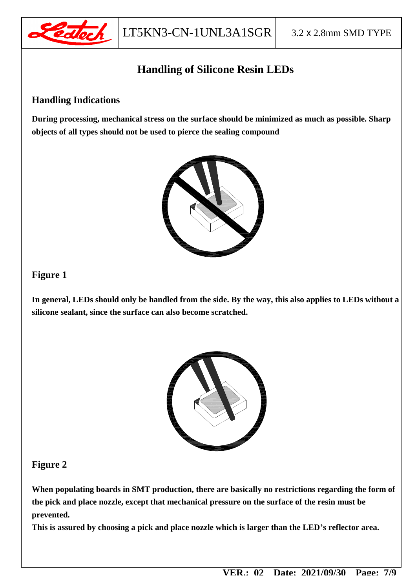

## **Handling of Silicone Resin LEDs**

#### **Handling Indications**

**During processing, mechanical stress on the surface should be minimized as much as possible. Sharp objects of all types should not be used to pierce the sealing compound** 



#### **Figure 1**

**In general, LEDs should only be handled from the side. By the way, this also applies to LEDs without a silicone sealant, since the surface can also become scratched.** 



#### **Figure 2**

**When populating boards in SMT production, there are basically no restrictions regarding the form of the pick and place nozzle, except that mechanical pressure on the surface of the resin must be prevented.** 

**This is assured by choosing a pick and place nozzle which is larger than the LED's reflector area.**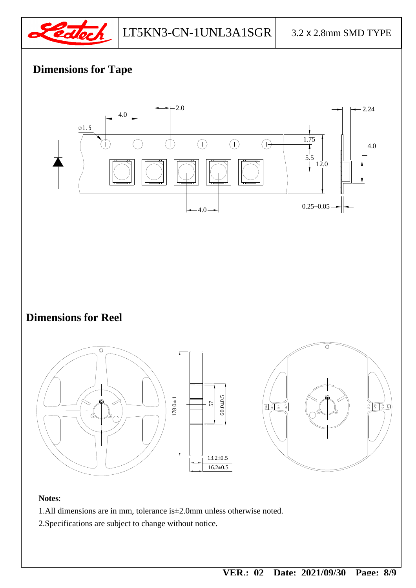

## **Dimensions for Tape**